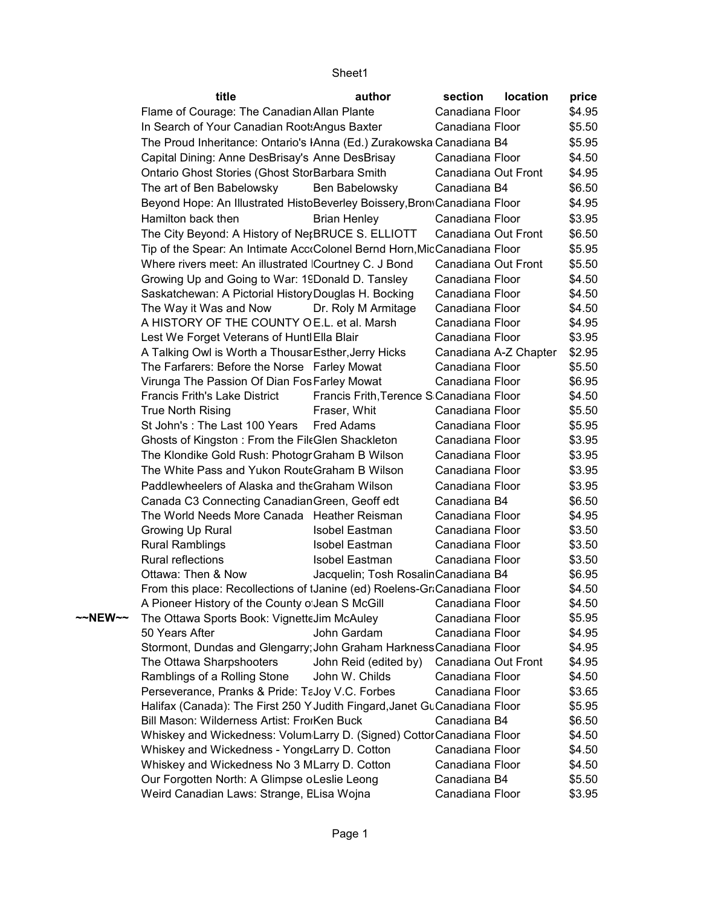## Sheet1

|         | title                                                                     | author                                   | section             | <b>location</b>       | price  |
|---------|---------------------------------------------------------------------------|------------------------------------------|---------------------|-----------------------|--------|
|         | Flame of Courage: The Canadian Allan Plante                               |                                          | Canadiana Floor     |                       | \$4.95 |
|         | In Search of Your Canadian Root: Angus Baxter                             |                                          | Canadiana Floor     |                       | \$5.50 |
|         | The Proud Inheritance: Ontario's IAnna (Ed.) Zurakowska Canadiana B4      |                                          |                     |                       | \$5.95 |
|         | Capital Dining: Anne DesBrisay's Anne DesBrisay                           |                                          | Canadiana Floor     |                       | \$4.50 |
|         | Ontario Ghost Stories (Ghost StorBarbara Smith                            |                                          | Canadiana Out Front |                       | \$4.95 |
|         | The art of Ben Babelowsky                                                 | Ben Babelowsky                           | Canadiana B4        |                       | \$6.50 |
|         | Beyond Hope: An Illustrated HistoBeverley Boissery, Brom Canadiana Floor  |                                          |                     |                       | \$4.95 |
|         | Hamilton back then                                                        | <b>Brian Henley</b>                      | Canadiana Floor     |                       | \$3.95 |
|         | The City Beyond: A History of NerBRUCE S. ELLIOTT                         |                                          | Canadiana Out Front |                       | \$6.50 |
|         | Tip of the Spear: An Intimate Acc«Colonel Bernd Horn, MicCanadiana Floor  |                                          |                     |                       | \$5.95 |
|         | Where rivers meet: An illustrated Courtney C. J Bond                      |                                          | Canadiana Out Front |                       | \$5.50 |
|         | Growing Up and Going to War: 19Donald D. Tansley                          |                                          | Canadiana Floor     |                       | \$4.50 |
|         | Saskatchewan: A Pictorial History Douglas H. Bocking                      |                                          | Canadiana Floor     |                       | \$4.50 |
|         | The Way it Was and Now                                                    | Dr. Roly M Armitage                      | Canadiana Floor     |                       | \$4.50 |
|         | A HISTORY OF THE COUNTY OE.L. et al. Marsh                                |                                          | Canadiana Floor     |                       | \$4.95 |
|         | Lest We Forget Veterans of Huntl Ella Blair                               |                                          | Canadiana Floor     |                       | \$3.95 |
|         | A Talking Owl is Worth a Thousar Esther, Jerry Hicks                      |                                          |                     | Canadiana A-Z Chapter | \$2.95 |
|         | The Farfarers: Before the Norse Farley Mowat                              |                                          | Canadiana Floor     |                       | \$5.50 |
|         | Virunga The Passion Of Dian Fos Farley Mowat                              |                                          | Canadiana Floor     |                       | \$6.95 |
|         | <b>Francis Frith's Lake District</b>                                      | Francis Frith, Terence S Canadiana Floor |                     |                       | \$4.50 |
|         | True North Rising                                                         | Fraser, Whit                             | Canadiana Floor     |                       | \$5.50 |
|         | St John's: The Last 100 Years                                             | Fred Adams                               | Canadiana Floor     |                       | \$5.95 |
|         | Ghosts of Kingston: From the FileGlen Shackleton                          |                                          | Canadiana Floor     |                       | \$3.95 |
|         | The Klondike Gold Rush: Photogr Graham B Wilson                           |                                          | Canadiana Floor     |                       | \$3.95 |
|         | The White Pass and Yukon Route Graham B Wilson                            |                                          | Canadiana Floor     |                       | \$3.95 |
|         | Paddlewheelers of Alaska and the Graham Wilson                            |                                          | Canadiana Floor     |                       | \$3.95 |
|         | Canada C3 Connecting Canadian Green, Geoff edt                            |                                          | Canadiana B4        |                       | \$6.50 |
|         | The World Needs More Canada Heather Reisman                               |                                          | Canadiana Floor     |                       | \$4.95 |
|         | Growing Up Rural                                                          | Isobel Eastman                           | Canadiana Floor     |                       | \$3.50 |
|         | <b>Rural Ramblings</b>                                                    | Isobel Eastman                           | Canadiana Floor     |                       | \$3.50 |
|         | Rural reflections                                                         | Isobel Eastman                           | Canadiana Floor     |                       | \$3.50 |
|         | Ottawa: Then & Now                                                        | Jacquelin; Tosh RosalinCanadiana B4      |                     |                       | \$6.95 |
|         | From this place: Recollections of IJanine (ed) Roelens-GraCanadiana Floor |                                          |                     |                       | \$4.50 |
|         | A Pioneer History of the County o Jean S McGill                           |                                          | Canadiana Floor     |                       | \$4.50 |
| ~~NEW~~ | The Ottawa Sports Book: VignetteJim McAuley                               |                                          | Canadiana Floor     |                       | \$5.95 |
|         | 50 Years After                                                            | John Gardam                              | Canadiana Floor     |                       | \$4.95 |
|         | Stormont, Dundas and Glengarry; John Graham Harkness Canadiana Floor      |                                          |                     |                       | \$4.95 |
|         | The Ottawa Sharpshooters                                                  | John Reid (edited by)                    | Canadiana Out Front |                       | \$4.95 |
|         | Ramblings of a Rolling Stone                                              | John W. Childs                           | Canadiana Floor     |                       | \$4.50 |
|         | Perseverance, Pranks & Pride: TaJoy V.C. Forbes                           |                                          | Canadiana Floor     |                       | \$3.65 |
|         | Halifax (Canada): The First 250 Y Judith Fingard, Janet GuCanadiana Floor |                                          |                     |                       | \$5.95 |
|         | Bill Mason: Wilderness Artist: FroiKen Buck                               |                                          | Canadiana B4        |                       | \$6.50 |
|         | Whiskey and Wickedness: Volum Larry D. (Signed) Cottor Canadiana Floor    |                                          |                     |                       | \$4.50 |
|         | Whiskey and Wickedness - Yong Larry D. Cotton                             |                                          | Canadiana Floor     |                       | \$4.50 |
|         | Whiskey and Wickedness No 3 MLarry D. Cotton                              |                                          | Canadiana Floor     |                       | \$4.50 |
|         | Our Forgotten North: A Glimpse oLeslie Leong                              |                                          | Canadiana B4        |                       | \$5.50 |
|         | Weird Canadian Laws: Strange, ELisa Wojna                                 |                                          | Canadiana Floor     |                       | \$3.95 |